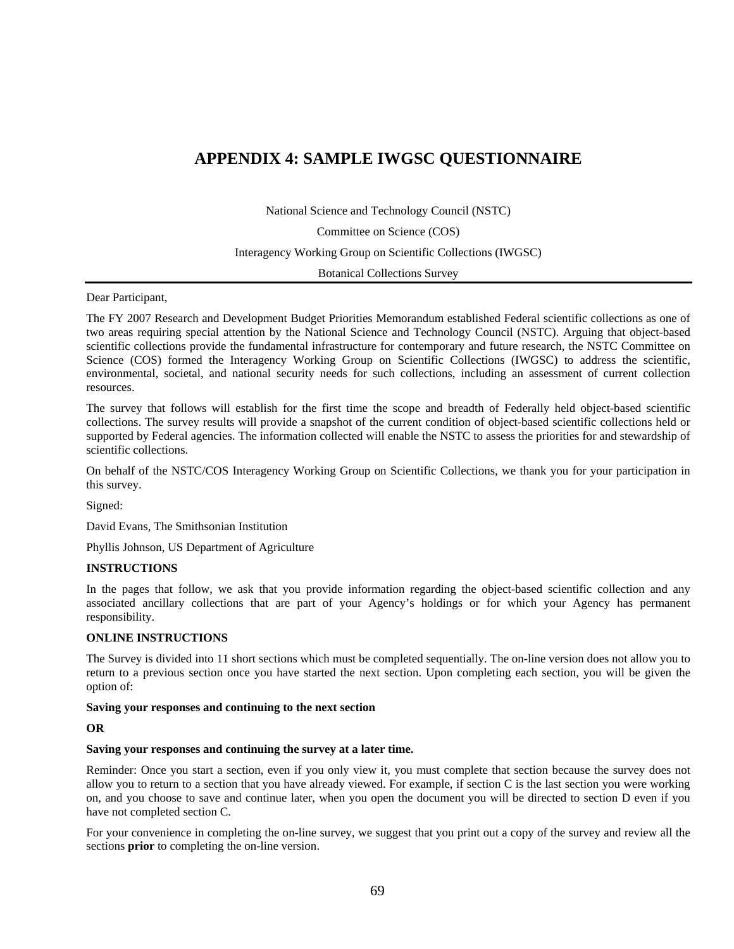## **APPENDIX 4: SAMPLE IWGSC QUESTIONNAIRE**

National Science and Technology Council (NSTC)

Committee on Science (COS)

Interagency Working Group on Scientific Collections (IWGSC)

Botanical Collections Survey

Dear Participant,

 The FY 2007 Research and Development Budget Priorities Memorandum established Federal scientific collections as one of two areas requiring special attention by the National Science and Technology Council (NSTC). Arguing that object-based scientific collections provide the fundamental infrastructure for contemporary and future research, the NSTC Committee on Science (COS) formed the Interagency Working Group on Scientific Collections (IWGSC) to address the scientific, environmental, societal, and national security needs for such collections, including an assessment of current collection resources.

The survey that follows will establish for the first time the scope and breadth of Federally held object-based scientific collections. The survey results will provide a snapshot of the current condition of object-based scientific collections held or supported by Federal agencies. The information collected will enable the NSTC to assess the priorities for and stewardship of scientific collections.

On behalf of the NSTC/COS Interagency Working Group on Scientific Collections, we thank you for your participation in this survey.

David Evans, The Smithsonian Institution

Signed: David Evans, The Smithsonian Institution Phyllis Johnson, US Department of Agriculture

#### **INSTRUCTIONS**

In the pages that follow, we ask that you provide information regarding the object-based scientific collection and any associated ancillary collections that are part of your Agency's holdings or for which your Agency has permanent responsibility.

### **ONLINE INSTRUCTIONS**

The Survey is divided into 11 short sections which must be completed sequentially. The on-line version does not allow you to return to a previous section once you have started the next section. Upon completing each section, you will be given the option of:

#### **Saving your responses and continuing to the next section**

#### **OR**

## **Saving your responses and continuing the survey at a later time.**

 on, and you choose to save and continue later, when you open the document you will be directed to section D even if you have not completed section C. Reminder: Once you start a section, even if you only view it, you must complete that section because the survey does not allow you to return to a section that you have already viewed. For example, if section  $C$  is the last section you were working

have not completed section C.<br>For your convenience in completing the on-line survey, we suggest that you print out a copy of the survey and review all the sections **prior** to completing the on-line version.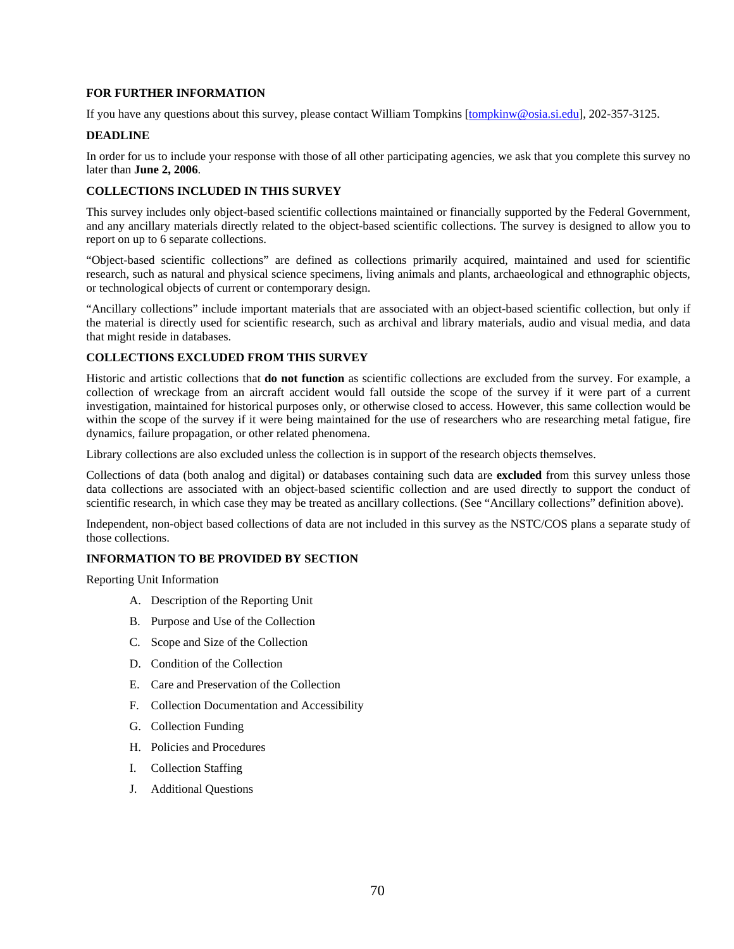### **FOR FURTHER INFORMATION**

If you have any questions about this survey, please contact William Tompkins [\[tompkinw@osia.si.edu](mailto:tompkinw@osia.si.edu)], 202-357-3125.

### **DEADLINE**

 In order for us to include your response with those of all other participating agencies, we ask that you complete this survey no later than **June 2, 2006**.

## **COLLECTIONS INCLUDED IN THIS SURVEY**

 report on up to 6 separate collections. This survey includes only object-based scientific collections maintained or financially supported by the Federal Government, and any ancillary materials directly related to the object-based scientific collections. The survey is designed to allow you to

"Object-based scientific collections" are defined as collections primarily acquired, maintained and used for scientific research, such as natural and physical science specimens, living animals and plants, archaeological and ethnographic objects, or technological objects of current or contemporary design.

 "Ancillary collections" include important materials that are associated with an object-based scientific collection, but only if that might reside in databases. the material is directly used for scientific research, such as archival and library materials, audio and visual media, and data

### **COLLECTIONS EXCLUDED FROM THIS SURVEY**

dynamics, failure propagation, or other related phenomena. Historic and artistic collections that **do not function** as scientific collections are excluded from the survey. For example, a collection of wreckage from an aircraft accident would fall outside the scope of the survey if it were part of a current investigation, maintained for historical purposes only, or otherwise closed to access. However, this same collection would be within the scope of the survey if it were being maintained for the use of researchers who are researching metal fatigue, fire

Library collections are also excluded unless the collection is in support of the research objects themselves.

Collections of data (both analog and digital) or databases containing such data are **excluded** from this survey unless those data collections are associated with an object-based scientific collection and are used directly to support the conduct of scientific research, in which case they may be treated as ancillary collections. (See "Ancillary collections" definition above).

 Independent, non-object based collections of data are not included in this survey as the NSTC/COS plans a separate study of those collections.

#### **INFORMATION TO BE PROVIDED BY SECTION**

Reporting Unit Information

- A. Description of the Reporting Unit
- 
- B. Purpose and Use of the Collection C. Scope and Size of the Collection
- D. Condition of the Collection
- E. Care and Preservation of the Collection
- F. Collection Documentation and Accessibility
- G. Collection Funding
- H. Policies and Procedures
- I. Collection Staffing
- J. Additional Questions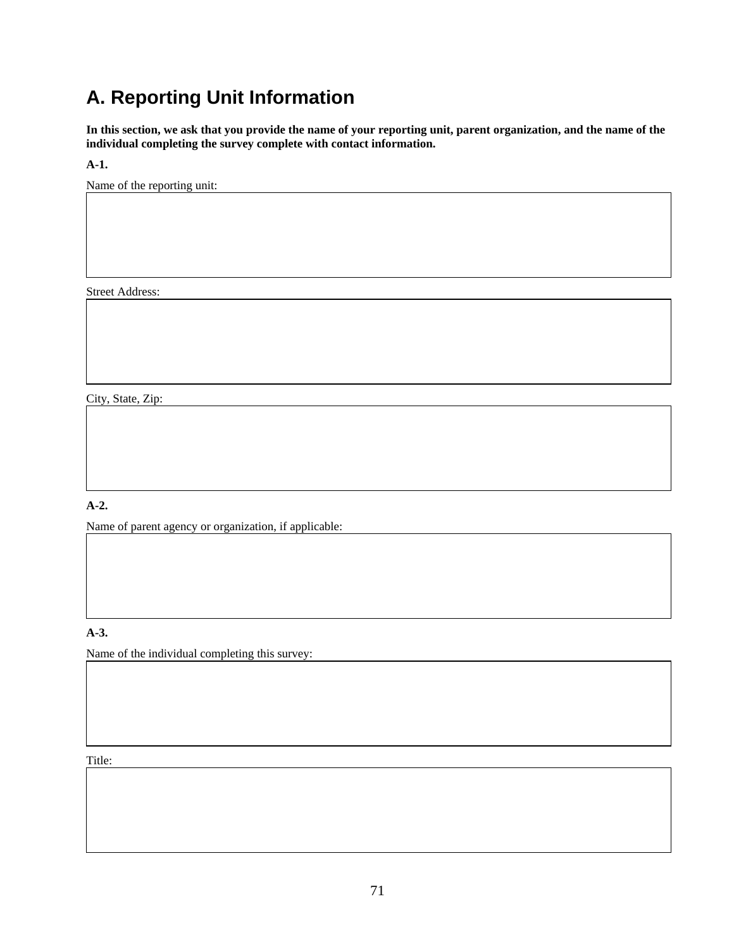# **A. Reporting Unit Information**

**In this section, we ask that you provide the name of your reporting unit, parent organization, and the name of the individual completing the survey complete with contact information.** 

**A-1.** 

Name of the reporting unit:

Street Address:

City, State, Zip:

## **A-2.**

Name of parent agency or organization, if applicable:

## **A-3.**

Name of the individual completing this survey:

Title: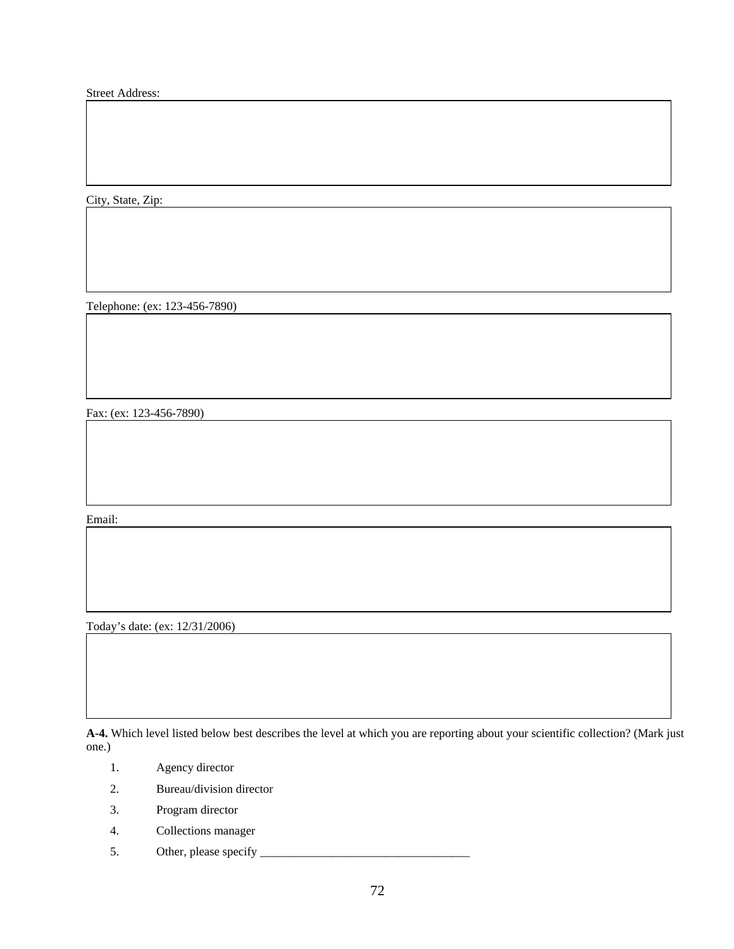Street Address:

City, State, Zip:

Telephone: (ex: 123-456-7890)

Fax: (ex: 123-456-7890)

Email:

Today's date: (ex: 12/31/2006)

**A-4.** Which level listed below best describes the level at which you are reporting about your scientific collection? (Mark just one.)

- 1. Agency director
- 2. Bureau/division director
- 3. Program director
- 4. Collections manager
- 5. Other, please specify \_\_\_\_\_\_\_\_\_\_\_\_\_\_\_\_\_\_\_\_\_\_\_\_\_\_\_\_\_\_\_\_\_\_\_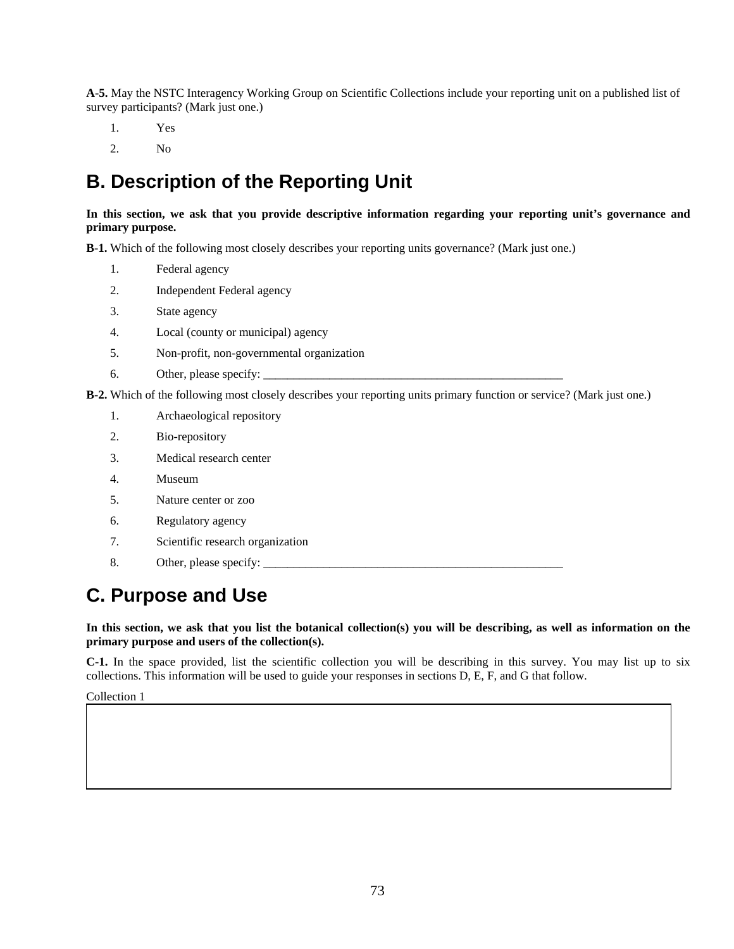**A-5.** May the NSTC Interagency Working Group on Scientific Collections include your reporting unit on a published list of survey participants? (Mark just one.)

- 1. Yes
- 2. No

# **B. Description of the Reporting Unit**

## **In this section, we ask that you provide descriptive information regarding your reporting unit's governance and primary purpose.**

**B-1.** Which of the following most closely describes your reporting units governance? (Mark just one.)

- 1. Federal agency
- 2. Independent Federal agency
- 3. State agency
- 4. Local (county or municipal) agency
- 5. Non-profit, non-governmental organization
- 6. Other, please specify:

**B-2.** Which of the following most closely describes your reporting units primary function or service? (Mark just one.)

- 1. Archaeological repository
- 2. Bio-repository
- 3. Medical research center
- 4. Museum
- 5. Nature center or zoo
- 6. Regulatory agency
- 7. Scientific research organization
- 8. Other, please specify: \_\_\_\_\_\_\_\_\_\_\_\_\_\_\_\_\_\_\_\_\_\_\_\_\_\_\_\_\_\_\_\_\_\_\_\_\_\_\_\_\_\_\_\_\_\_\_\_\_\_

## **C. Purpose and Use**

**In this section, we ask that you list the botanical collection(s) you will be describing, as well as information on the primary purpose and users of the collection(s).** 

 collections. This information will be used to guide your responses in sections D, E, F, and G that follow. **C-1.** In the space provided, list the scientific collection you will be describing in this survey. You may list up to six

Collection 1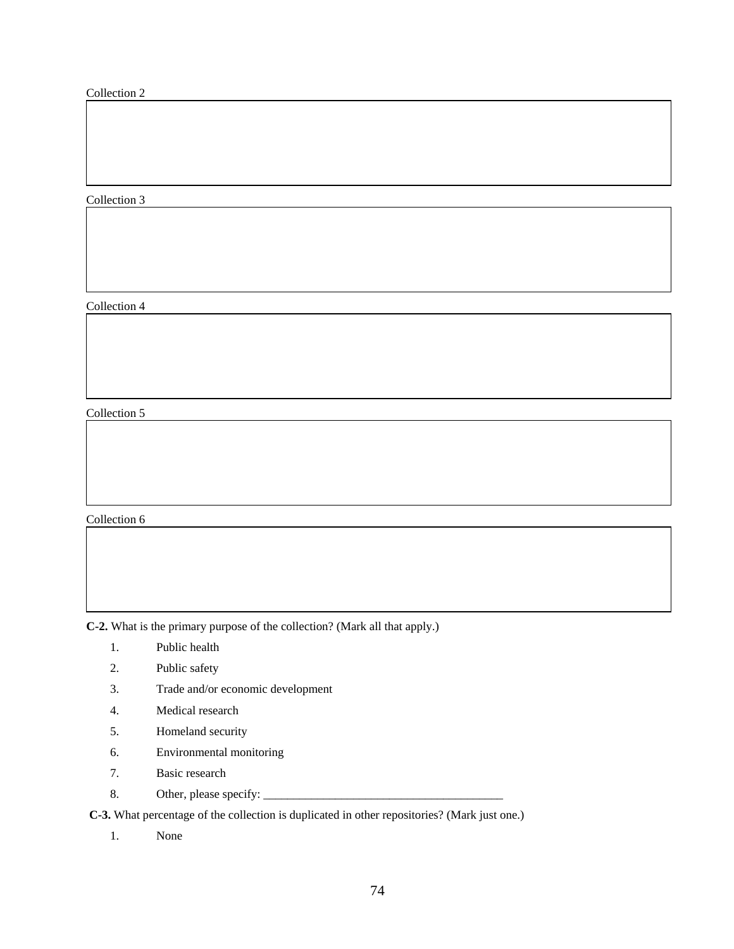## Collection 2

## Collection 3

Collection 4

Collection 5

Collection 6

**C-2.** What is the primary purpose of the collection? (Mark all that apply.)

- 1. Public health
- 2. Public safety
- 3. Trade and/or economic development
- 4. Medical research
- 5. Homeland security
- 6. Environmental monitoring
- 7. Basic research
- 8. Other, please specify: \_\_\_\_\_\_\_\_\_\_\_\_\_\_\_\_\_\_\_\_\_\_\_\_\_\_\_\_\_\_\_\_\_\_\_\_\_\_\_\_

**C-3.** What percentage of the collection is duplicated in other repositories? (Mark just one.)

1. None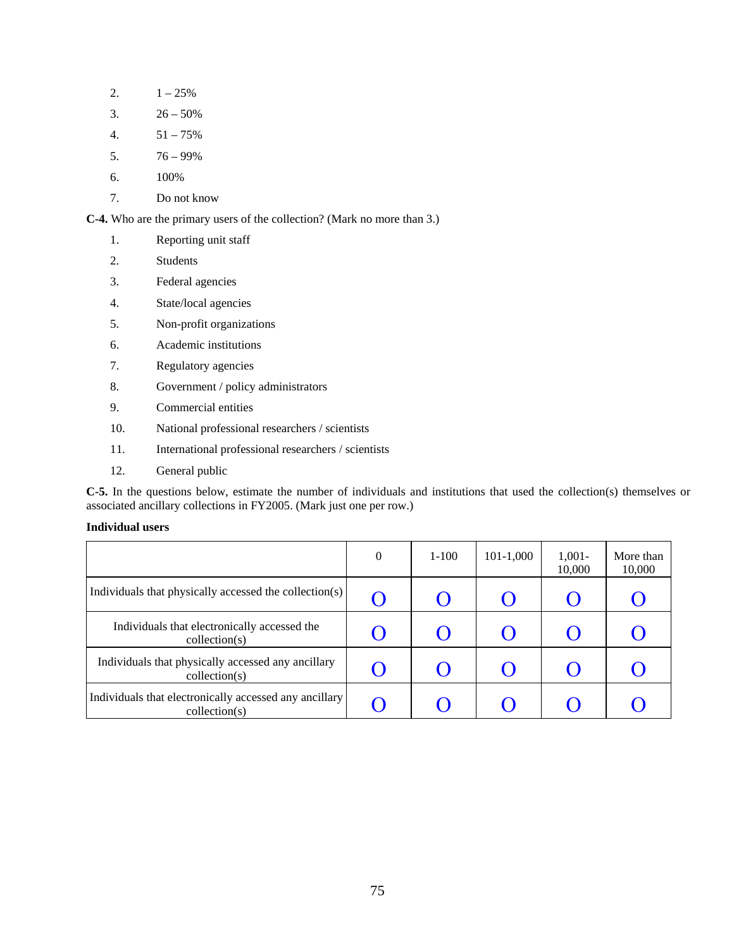- 2.  $1 25\%$
- 3.  $26 50\%$
- 4.  $51 75\%$
- 5. 76 99%
- 6. 100%
- 7. Do not know

**C-4.** Who are the primary users of the collection? (Mark no more than 3.)

- 1. Reporting unit staff
- 2. Students
- 3. Federal agencies
- 4. State/local agencies
- 5. Non-profit organizations
- 6. Academic institutions
- 7. Regulatory agencies
- 8. Government / policy administrators
- 9. Commercial entities
- 10. National professional researchers / scientists
- 11. International professional researchers / scientists
- 12. General public

 associated ancillary collections in FY2005. (Mark just one per row.) **C-5.** In the questions below, estimate the number of individuals and institutions that used the collection(s) themselves or

## **Individual users**

|                                                                                  | $\theta$ | $1 - 100$ | $101 - 1,000$ | $1,001-$<br>10,000 | More than<br>10,000 |
|----------------------------------------------------------------------------------|----------|-----------|---------------|--------------------|---------------------|
| Individuals that physically accessed the collection(s)                           |          |           |               |                    |                     |
| Individuals that electronically accessed the<br>$\text{collection}(s)$           |          |           | <b>( )</b>    |                    |                     |
| Individuals that physically accessed any ancillary<br>$\text{collection}(s)$     |          |           | ( )           |                    |                     |
| Individuals that electronically accessed any ancillary<br>$\text{collection}(s)$ |          |           |               |                    |                     |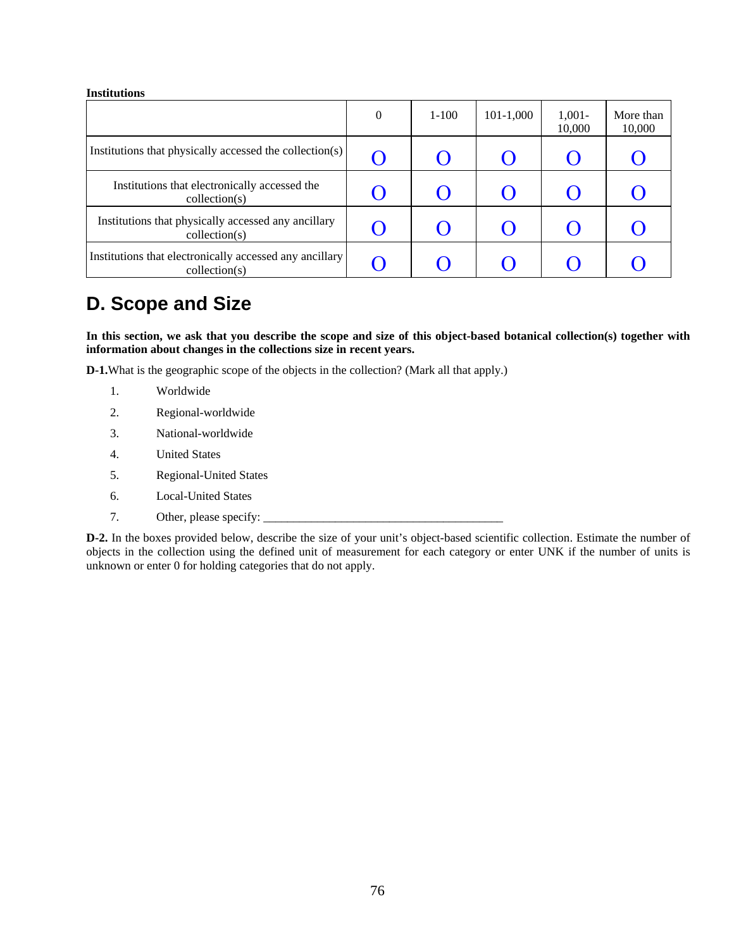### **Institutions**

|                                                                                   | 0 | $1 - 100$ | $101-1,000$ | $1,001-$<br>10,000 | More than<br>10,000 |
|-----------------------------------------------------------------------------------|---|-----------|-------------|--------------------|---------------------|
| Institutions that physically accessed the collection(s)                           |   |           | $\Box$      |                    |                     |
| Institutions that electronically accessed the<br>$\text{collection}(s)$           |   |           |             |                    |                     |
| Institutions that physically accessed any ancillary<br>$\text{collection}(s)$     |   |           | $\Box$      |                    |                     |
| Institutions that electronically accessed any ancillary<br>$\text{collection}(s)$ |   |           |             |                    |                     |

## **D. Scope and Size**

**In this section, we ask that you describe the scope and size of this object-based botanical collection(s) together with information about changes in the collections size in recent years.** 

**D-1.**What is the geographic scope of the objects in the collection? (Mark all that apply.)

- 1. Worldwide
- 2. Regional-worldwide
- 3. National-worldwide
- 4. United States
- 5. Regional-United States
- 6. Local-United States
- 7. Other, please specify:

unknown or enter 0 for holding categories that do not apply. **D-2.** In the boxes provided below, describe the size of your unit's object-based scientific collection. Estimate the number of objects in the collection using the defined unit of measurement for each category or enter UNK if the number of units is unknown or enter 0 for holding categories that do not apply.<br>
The same of the state of the state of the state of the state of the state of the state of the state of the state of the state of the state of the state of the s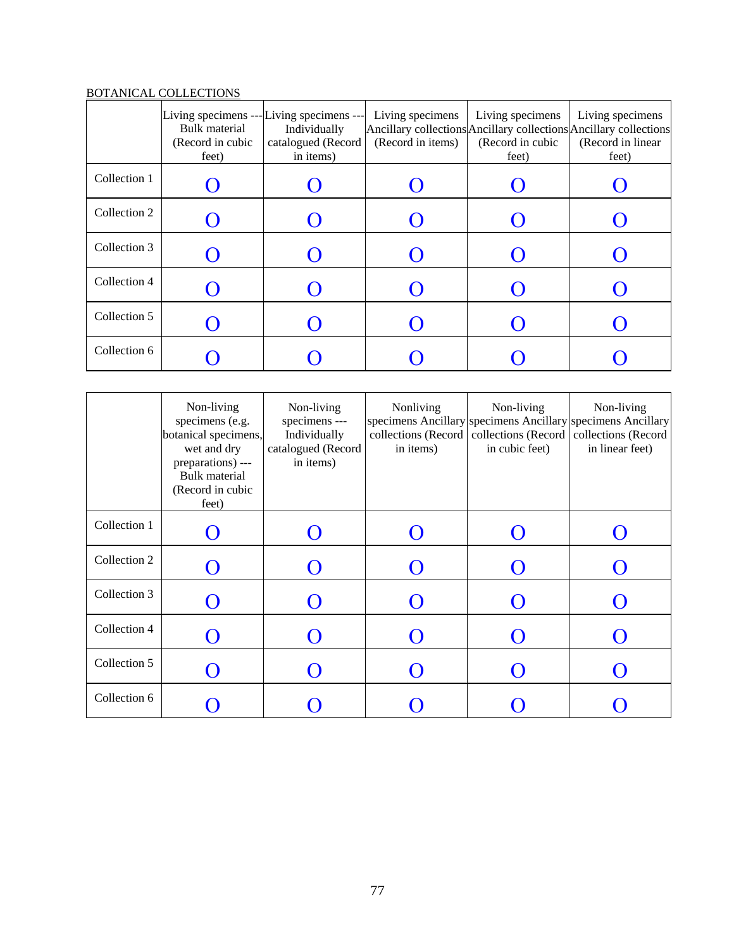## BOTANICAL COLLECTIONS

|              | Living specimens --- Living specimens ---<br>Bulk material<br>(Record in cubic<br>feet) | Individually<br>catalogued (Record<br>in items) | Living specimens<br>(Record in items) | Living specimens<br>(Record in cubic<br>feet) | Living specimens<br>Ancillary collections Ancillary collections Ancillary collections<br>(Record in linear<br>feet) |
|--------------|-----------------------------------------------------------------------------------------|-------------------------------------------------|---------------------------------------|-----------------------------------------------|---------------------------------------------------------------------------------------------------------------------|
| Collection 1 |                                                                                         |                                                 |                                       |                                               |                                                                                                                     |
| Collection 2 |                                                                                         |                                                 |                                       |                                               |                                                                                                                     |
| Collection 3 |                                                                                         |                                                 |                                       |                                               |                                                                                                                     |
| Collection 4 |                                                                                         |                                                 |                                       |                                               |                                                                                                                     |
| Collection 5 |                                                                                         |                                                 |                                       |                                               |                                                                                                                     |
| Collection 6 |                                                                                         |                                                 |                                       |                                               |                                                                                                                     |

|              | Non-living<br>specimens (e.g.<br>botanical specimens,<br>wet and dry<br>preparations) ---<br>Bulk material<br>(Record in cubic<br>feet) | Non-living<br>specimens ---<br>Individually<br>catalogued (Record<br>in items) | Nonliving<br>collections (Record<br>in items) | Non-living<br>collections (Record<br>in cubic feet) | Non-living<br>specimens Ancillary specimens Ancillary specimens Ancillary<br>collections (Record<br>in linear feet) |
|--------------|-----------------------------------------------------------------------------------------------------------------------------------------|--------------------------------------------------------------------------------|-----------------------------------------------|-----------------------------------------------------|---------------------------------------------------------------------------------------------------------------------|
| Collection 1 |                                                                                                                                         |                                                                                |                                               |                                                     |                                                                                                                     |
| Collection 2 |                                                                                                                                         |                                                                                |                                               |                                                     |                                                                                                                     |
| Collection 3 |                                                                                                                                         |                                                                                |                                               |                                                     |                                                                                                                     |
| Collection 4 |                                                                                                                                         |                                                                                |                                               |                                                     |                                                                                                                     |
| Collection 5 |                                                                                                                                         |                                                                                |                                               |                                                     |                                                                                                                     |
| Collection 6 |                                                                                                                                         |                                                                                |                                               |                                                     |                                                                                                                     |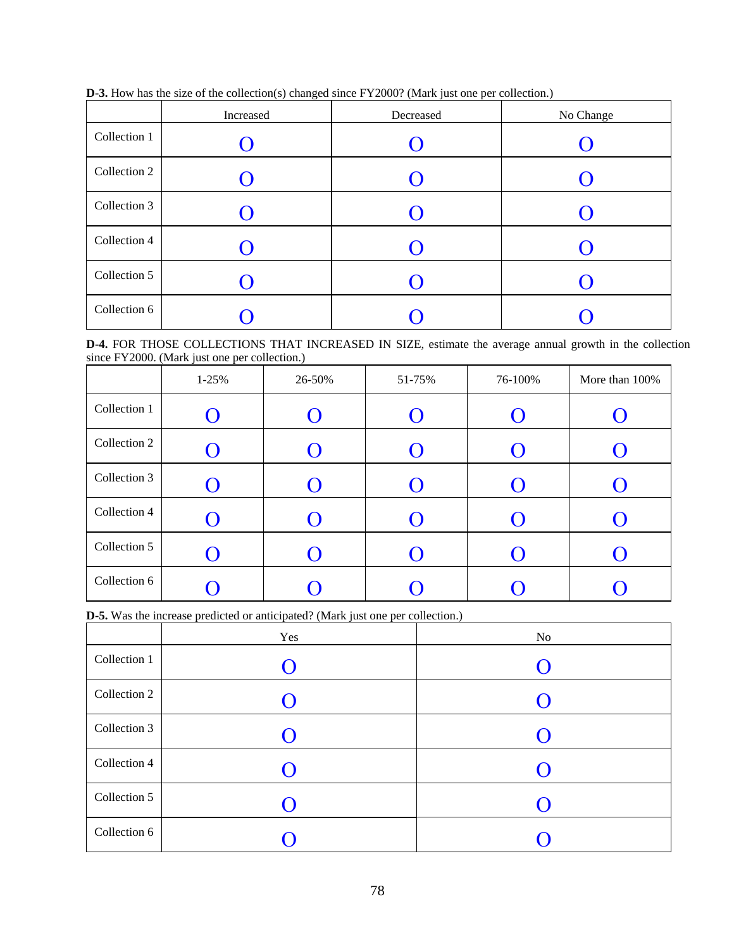|  |  |  |  |  |  | <b>D-3.</b> How has the size of the collection(s) changed since FY2000? (Mark just one per collection.) |  |  |  |
|--|--|--|--|--|--|---------------------------------------------------------------------------------------------------------|--|--|--|
|  |  |  |  |  |  |                                                                                                         |  |  |  |

|              | Increased          | Decreased | No Change |
|--------------|--------------------|-----------|-----------|
| Collection 1 |                    |           |           |
| Collection 2 |                    |           |           |
| Collection 3 | $\left( \ \right)$ | 0         |           |
| Collection 4 |                    | $\Box$    |           |
| Collection 5 |                    |           |           |
| Collection 6 |                    |           |           |

**D-4.** FOR THOSE COLLECTIONS THAT INCREASED IN SIZE, estimate the average annual growth in the collection since FY2000. (Mark just one per collection.)

|              |           | $\epsilon$ |                         |         |                |
|--------------|-----------|------------|-------------------------|---------|----------------|
|              | $1 - 25%$ | 26-50%     | 51-75%                  | 76-100% | More than 100% |
| Collection 1 | $\cup$    |            |                         |         |                |
| Collection 2 | $\Box$    |            | $\mathbf C$             |         |                |
| Collection 3 |           |            |                         |         |                |
| Collection 4 |           |            | $\overline{\mathbf{U}}$ |         | $\blacksquare$ |
| Collection 5 | $\Box$    |            | $\overline{()}$         |         |                |
| Collection 6 |           |            |                         |         |                |

**D-5.** Was the increase predicted or anticipated? (Mark just one per collection.)

|              | Yes | No             |
|--------------|-----|----------------|
| Collection 1 |     | $\blacksquare$ |
| Collection 2 |     |                |
| Collection 3 | 0   | $\blacksquare$ |
| Collection 4 |     | $\blacksquare$ |
| Collection 5 |     | $\Box$         |
| Collection 6 |     |                |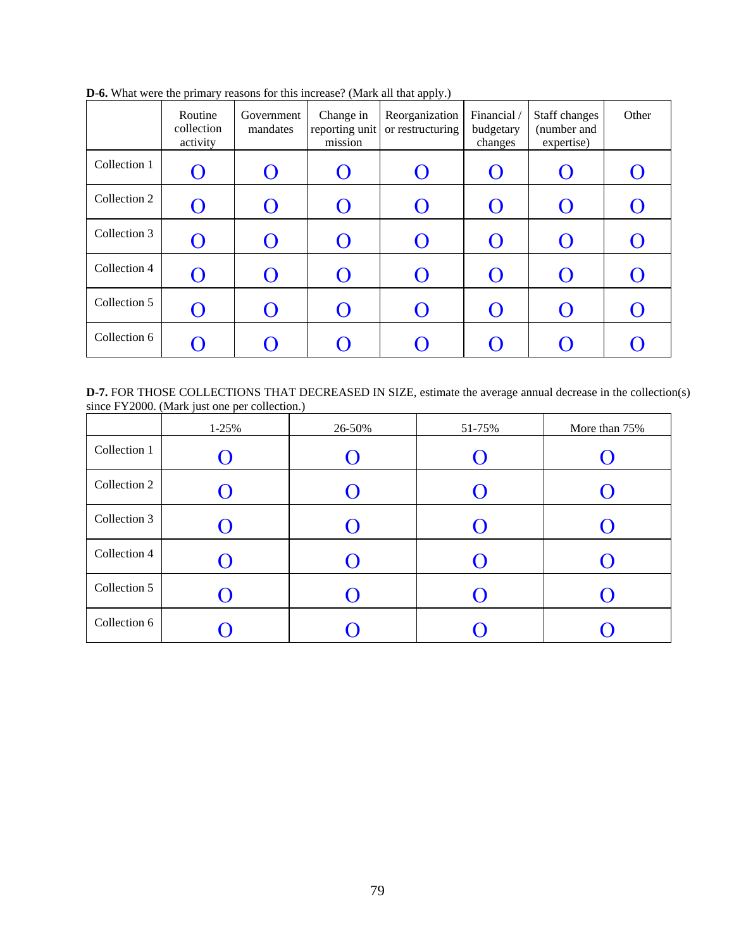|              | Routine<br>collection<br>activity | Government<br>mandates | Change in<br>reporting unit<br>mission | Reorganization<br>or restructuring | Financial /<br>budgetary<br>changes | Staff changes<br>(number and<br>expertise) | Other |
|--------------|-----------------------------------|------------------------|----------------------------------------|------------------------------------|-------------------------------------|--------------------------------------------|-------|
| Collection 1 | $\Box$                            |                        |                                        |                                    |                                     |                                            |       |
| Collection 2 | $\Box$                            |                        |                                        |                                    | $\Box$                              |                                            |       |
| Collection 3 | $\left( \ \right)$                |                        |                                        |                                    | $\Box$                              |                                            |       |
| Collection 4 | $\left( \ \right)$                |                        |                                        |                                    | $\Box$                              |                                            |       |
| Collection 5 | ∩                                 |                        |                                        |                                    | $\Omega$                            |                                            |       |
| Collection 6 | $\Box$                            |                        |                                        |                                    | $\mathcal{O}$                       |                                            |       |

**D-6.** What were the primary reasons for this increase? (Mark all that apply.)

**D-7.** FOR THOSE COLLECTIONS THAT DECREASED IN SIZE, estimate the average annual decrease in the collection(s) since FY2000. (Mark just one per collection.)

|              | $1 - 25%$ | 26-50%         | 51-75%         | More than 75%  |
|--------------|-----------|----------------|----------------|----------------|
| Collection 1 |           |                |                |                |
| Collection 2 |           |                | $\blacksquare$ |                |
| Collection 3 |           | $\blacksquare$ |                |                |
| Collection 4 |           |                |                | $\blacksquare$ |
| Collection 5 |           |                |                |                |
| Collection 6 |           |                |                |                |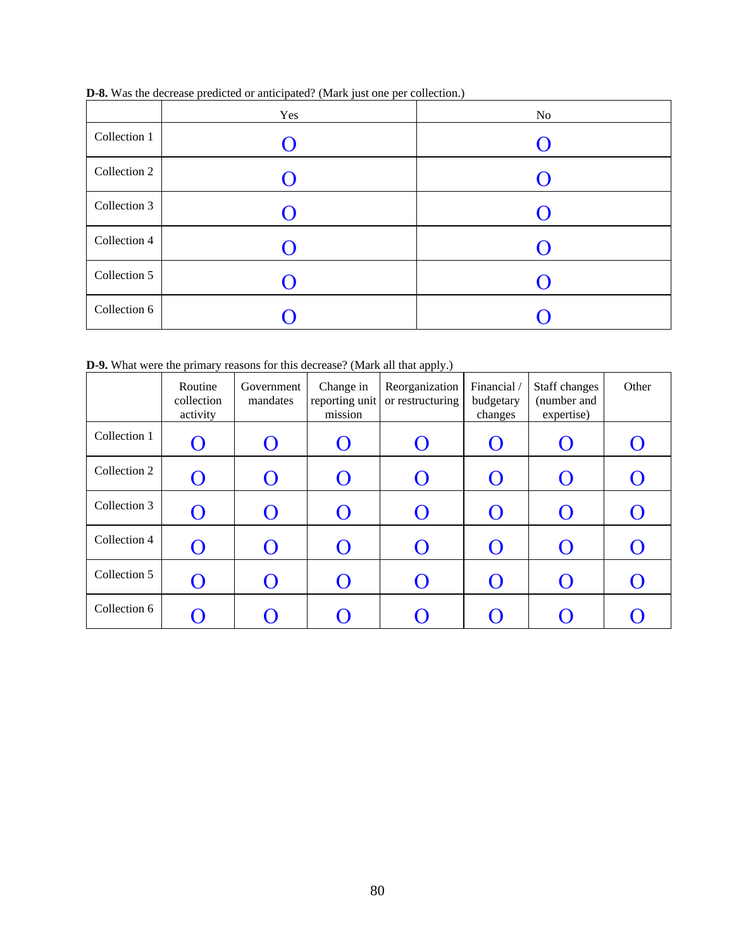|              | Yes            | No             |
|--------------|----------------|----------------|
| Collection 1 | $\blacksquare$ |                |
| Collection 2 |                |                |
| Collection 3 | 0              | $\blacksquare$ |
| Collection 4 |                |                |
| Collection 5 |                |                |
| Collection 6 |                |                |

**D-8.** Was the decrease predicted or anticipated? (Mark just one per collection.)

**D-9.** What were the primary reasons for this decrease? (Mark all that apply.)

| <b>D-9.</b> What were the primary reasons for this decrease? (Mark all that apply.) |                                   |                        |                                        |                                    |                                     |                                            |       |
|-------------------------------------------------------------------------------------|-----------------------------------|------------------------|----------------------------------------|------------------------------------|-------------------------------------|--------------------------------------------|-------|
|                                                                                     | Routine<br>collection<br>activity | Government<br>mandates | Change in<br>reporting unit<br>mission | Reorganization<br>or restructuring | Financial /<br>budgetary<br>changes | Staff changes<br>(number and<br>expertise) | Other |
| Collection 1                                                                        |                                   |                        |                                        |                                    |                                     |                                            |       |
| Collection 2                                                                        |                                   |                        |                                        |                                    |                                     |                                            |       |
| Collection 3                                                                        |                                   |                        |                                        |                                    |                                     |                                            |       |
| Collection 4                                                                        | ( )                               |                        |                                        |                                    | $\boldsymbol{O}$                    |                                            |       |
| Collection 5                                                                        | ( )                               |                        |                                        |                                    | $\mathcal{O}$                       |                                            |       |
| Collection 6                                                                        |                                   |                        |                                        |                                    |                                     |                                            |       |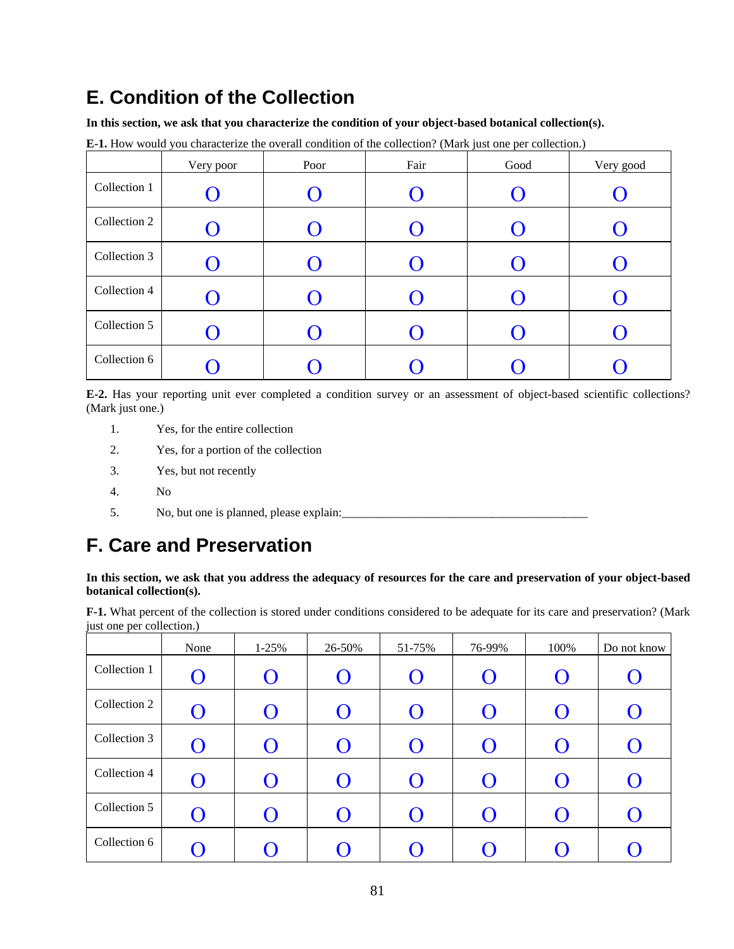# **E. Condition of the Collection**

**In this section, we ask that you characterize the condition of your object-based botanical collection(s).** 

|              | Very poor | Poor | Fair | Good | Very good |
|--------------|-----------|------|------|------|-----------|
| Collection 1 |           |      |      |      |           |
| Collection 2 |           |      | U    |      |           |
| Collection 3 |           |      |      |      |           |
| Collection 4 |           |      | U    |      |           |
| Collection 5 |           |      |      |      |           |
| Collection 6 |           |      |      |      |           |

**E-1.** How would you characterize the overall condition of the collection? (Mark just one per collection.)

**E-2.** Has your reporting unit ever completed a condition survey or an assessment of object-based scientific collections? (Mark just one.)

- 1. Yes, for the entire collection
- 2. Yes, for a portion of the collection
- $\overline{3}$ . Yes, but not recently
- 4. No
- 5. No, but one is planned, please explain:\_\_\_\_\_\_\_\_\_\_\_\_\_\_\_\_\_\_\_\_\_\_\_\_\_\_\_\_\_\_\_\_\_\_\_\_\_\_\_\_\_

# **F. Care and Preservation**

## **In this section, we ask that you address the adequacy of resources for the care and preservation of your object-based botanical collection(s).**

 **F-1.** What percent of the collection is stored under conditions considered to be adequate for its care and preservation? (Mark just one per collection.)

|              | None                  | $1 - 25%$          | 26-50%    | 51-75% | 76-99% | 100%             | Do not know           |
|--------------|-----------------------|--------------------|-----------|--------|--------|------------------|-----------------------|
| Collection 1 | $\bf{O}$              | $\left( \ \right)$ | $\Omega$  | Ő      |        | $\left( \right)$ | U                     |
| Collection 2 | $\boldsymbol{\Theta}$ |                    | $\bigcap$ | ( )    |        |                  | $\boldsymbol{\Theta}$ |
| Collection 3 | O                     |                    | $\Omega$  | Ő      |        | $\Omega$         | U                     |
| Collection 4 | O                     |                    | $\Omega$  | O      |        | $\Omega$         | O                     |
| Collection 5 | O                     |                    | $\Omega$  | O      |        | $\bigcap$        | $\boldsymbol{\Theta}$ |
| Collection 6 | ( )                   |                    |           | $\Box$ |        |                  |                       |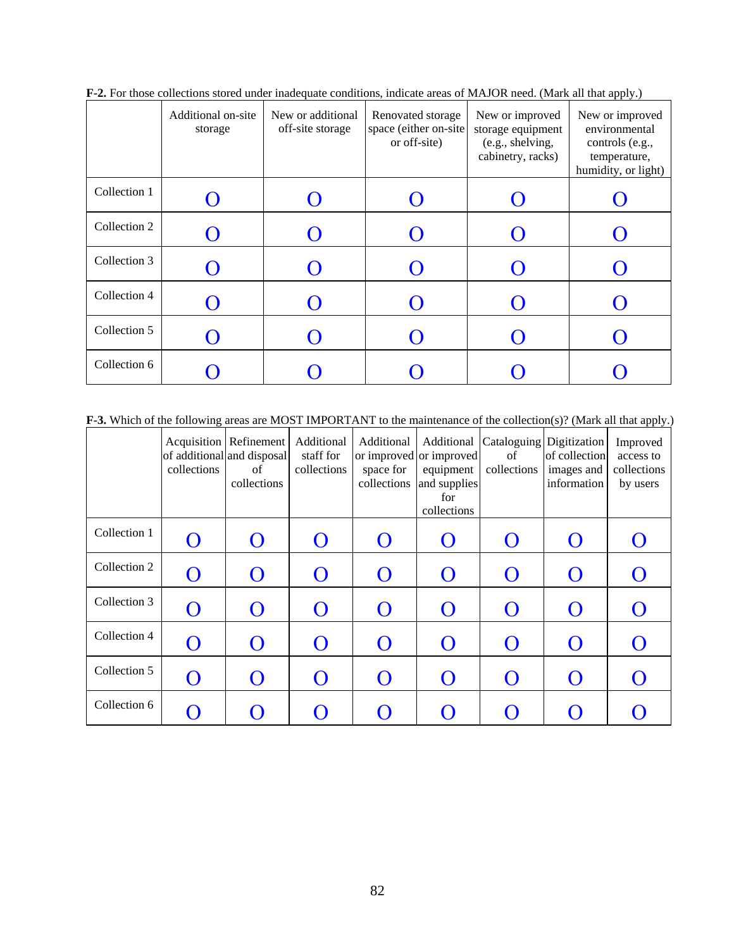|              | Additional on-site<br>storage | New or additional<br>off-site storage | Renovated storage<br>space (either on-site<br>or off-site) | New or improved<br>storage equipment<br>(e.g., shelving,<br>cabinetry, racks) | .<br>New or improved<br>environmental<br>controls (e.g.,<br>temperature,<br>humidity, or light) |
|--------------|-------------------------------|---------------------------------------|------------------------------------------------------------|-------------------------------------------------------------------------------|-------------------------------------------------------------------------------------------------|
| Collection 1 |                               |                                       |                                                            |                                                                               |                                                                                                 |
| Collection 2 |                               |                                       |                                                            |                                                                               |                                                                                                 |
| Collection 3 |                               |                                       |                                                            |                                                                               |                                                                                                 |
| Collection 4 |                               |                                       |                                                            |                                                                               |                                                                                                 |
| Collection 5 |                               |                                       |                                                            |                                                                               |                                                                                                 |
| Collection 6 |                               |                                       |                                                            |                                                                               |                                                                                                 |

**F-2.** For those collections stored under inadequate conditions, indicate areas of MAJOR need. (Mark all that apply.)

**F-3.** Which of the following areas are MOST IMPORTANT to the maintenance of the collection(s)? (Mark all that apply.)

|              | collections | Acquisition   Refinement<br>of additional and disposal<br>of<br>collections | Additional<br>staff for<br>collections | Additional<br>space for<br>collections | Additional<br>or improved or improved<br>equipment<br>and supplies<br>for<br>collections | Cataloguing Digitization<br>of<br>collections | of collection<br>images and<br>information | Improved<br>access to<br>collections<br>by users |
|--------------|-------------|-----------------------------------------------------------------------------|----------------------------------------|----------------------------------------|------------------------------------------------------------------------------------------|-----------------------------------------------|--------------------------------------------|--------------------------------------------------|
| Collection 1 | ∩           | $\Box$                                                                      | O                                      | $\mathcal{O}$                          |                                                                                          |                                               |                                            |                                                  |
| Collection 2 |             |                                                                             |                                        | O                                      | $\overline{\phantom{0}}$                                                                 | $\mathcal{O}$                                 | $\mathcal{O}$                              |                                                  |
| Collection 3 | O           | $\Box$                                                                      | $\overline{()}$                        | O                                      | $\overline{()}$                                                                          | $\overline{()}$                               | $\overline{()}$                            |                                                  |
| Collection 4 |             |                                                                             |                                        | O                                      | $\mathbf{\Omega}$                                                                        |                                               | $\overline{\mathbf{C}}$                    |                                                  |
| Collection 5 | $\Omega$    | $\Box$                                                                      | $\mathbf{\Omega}$                      | $\Omega$                               | $\Omega$                                                                                 | $\Omega$                                      | $\Omega$                                   |                                                  |
| Collection 6 |             |                                                                             |                                        |                                        |                                                                                          |                                               |                                            |                                                  |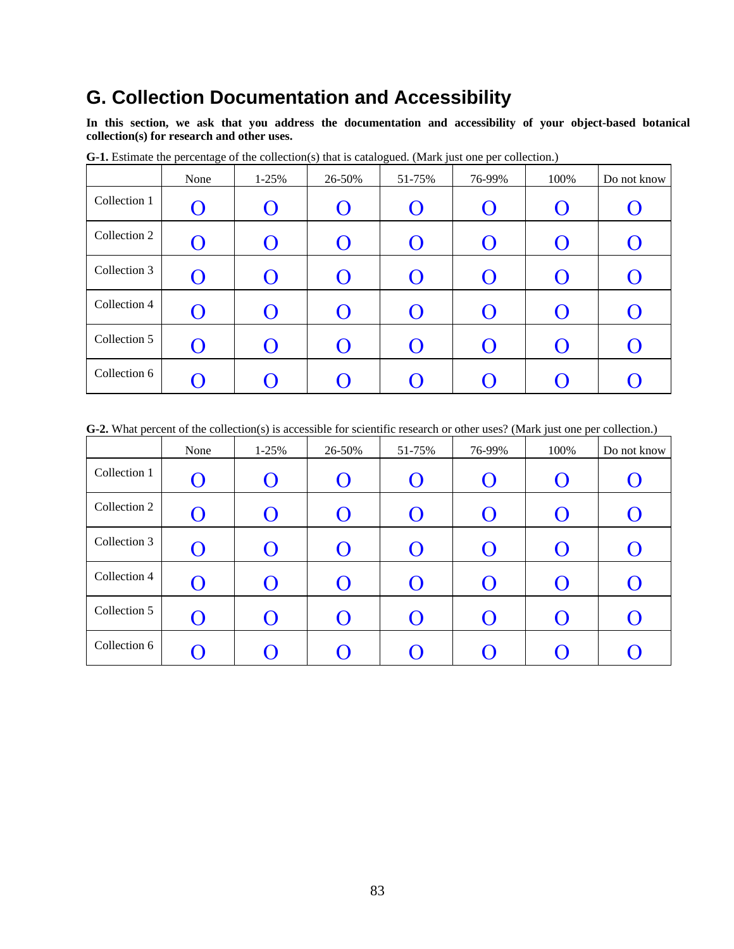## **G. Collection Documentation and Accessibility**

**In this section, we ask that you address the documentation and accessibility of your object-based botanical collection(s) for research and other uses.** 

|              | None                      | $1 - 25%$          | 26-50%   | 51-75%                    | 76-99%                   | 100%               | Do not know    |
|--------------|---------------------------|--------------------|----------|---------------------------|--------------------------|--------------------|----------------|
| Collection 1 | $\mathbf{\Omega}$         | $\left(\right)$    | $\Omega$ | $\boldsymbol{\mathrm{O}}$ |                          | $\overline{(\ )}$  | U              |
| Collection 2 | O                         | $\left( \ \right)$ | $\Omega$ | O                         | O                        | $\bigcap$          | O              |
| Collection 3 | O                         | $\left( \ \right)$ | $\Omega$ | O                         | $\overline{\mathcal{O}}$ | $\overline{()}$    | Ő              |
| Collection 4 | $\boldsymbol{\mathrm{O}}$ | $\left( \ \right)$ | $\Omega$ | $\bf{O}$                  | ( )                      | $\left( \ \right)$ | ( )            |
| Collection 5 | $\boldsymbol{\mathrm{O}}$ | $\left( \ \right)$ | $\Omega$ | $\bf{O}$                  |                          | $\bigcap$          | Ő              |
| Collection 6 | $\left( \ \right)$        |                    |          | $\mathcal{O}$             |                          |                    | $\blacksquare$ |

**G-1.** Estimate the percentage of the collection(s) that is catalogued. (Mark just one per collection.)

**G-2.** What percent of the collection(s) is accessible for scientific research or other uses? (Mark just one per collection.)

|              | None              | $1 - 25%$          | 26-50%             | 51-75%                    | 76-99% | 100%               | Do not know |
|--------------|-------------------|--------------------|--------------------|---------------------------|--------|--------------------|-------------|
| Collection 1 | O                 | $\left( \ \right)$ | $\left( \ \right)$ | $\boldsymbol{\mathrm{O}}$ |        | $\left( \ \right)$ | $\Box$      |
| Collection 2 | $\mathbf{O}$      | ( )                | $\Omega$           | $\bf{O}$                  |        | $\Omega$           | Ő           |
| Collection 3 | O                 | $\left( \ \right)$ | $\Omega$           | O                         |        | $\Omega$           | U           |
| Collection 4 | $\bf{O}$          | $\left( \ \right)$ | $\Omega$           | $\boldsymbol{\mathrm{O}}$ |        | $\mathcal{O}$      | <b>( )</b>  |
| Collection 5 | O                 | $\left( \ \right)$ | $\Omega$           | $\boldsymbol{\Theta}$     |        | $\Omega$           | O           |
| Collection 6 | $\mathbf{\Omega}$ |                    |                    |                           |        |                    |             |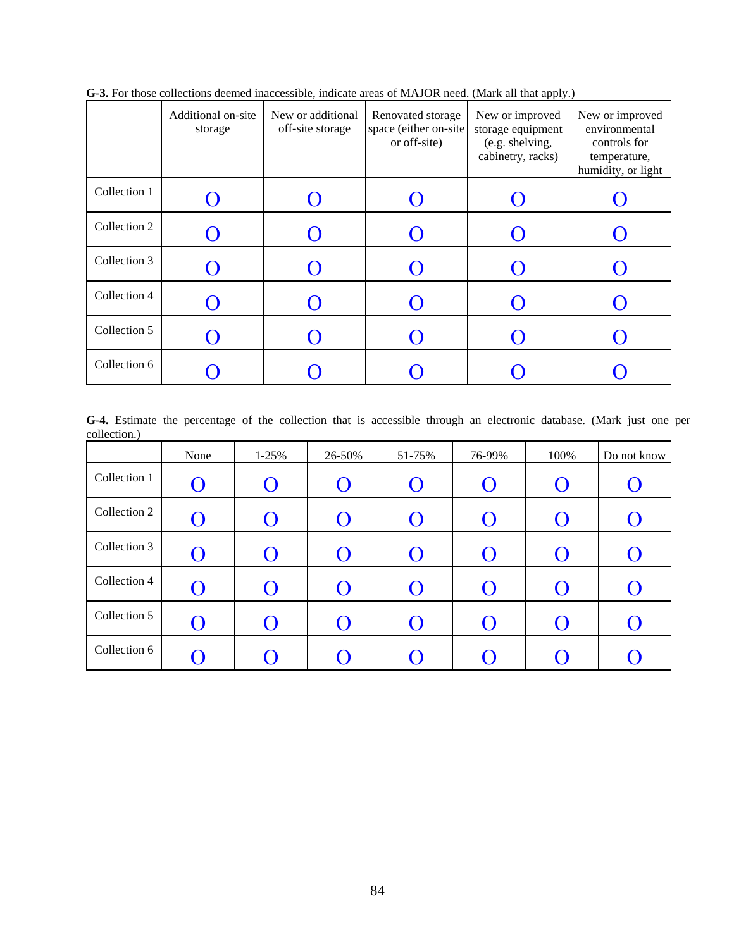|              | Additional on-site<br>storage | New or additional<br>off-site storage | Renovated storage<br>space (either on-site<br>or off-site) | New or improved<br>storage equipment<br>(e.g. shelving,<br>cabinetry, racks) | New or improved<br>environmental<br>controls for<br>temperature,<br>humidity, or light |
|--------------|-------------------------------|---------------------------------------|------------------------------------------------------------|------------------------------------------------------------------------------|----------------------------------------------------------------------------------------|
| Collection 1 |                               |                                       |                                                            |                                                                              |                                                                                        |
| Collection 2 |                               |                                       |                                                            |                                                                              |                                                                                        |
| Collection 3 |                               |                                       |                                                            |                                                                              |                                                                                        |
| Collection 4 |                               |                                       |                                                            |                                                                              |                                                                                        |
| Collection 5 |                               |                                       |                                                            |                                                                              |                                                                                        |
| Collection 6 |                               |                                       |                                                            |                                                                              |                                                                                        |

**G-3.** For those collections deemed inaccessible, indicate areas of MAJOR need. (Mark all that apply.)

**G-4.** Estimate the percentage of the collection that is accessible through an electronic database. (Mark just one per collection.)

|              | None                  | $1 - 25%$ | 26-50% | 51-75%                    | 76-99%             | 100%      | Do not know    |
|--------------|-----------------------|-----------|--------|---------------------------|--------------------|-----------|----------------|
| Collection 1 | O                     |           | O      | $\bf{O}$                  |                    | O         | Ő              |
| Collection 2 | $\boldsymbol{\Theta}$ |           | ∩      | ( )                       |                    | $\bigcap$ |                |
| Collection 3 | O                     |           | O      | Ő                         |                    | $\Omega$  | $\blacksquare$ |
| Collection 4 | O                     |           | O      | $\boldsymbol{\mathrm{O}}$ | $\left( \ \right)$ | $\Omega$  |                |
| Collection 5 | $\mathbf{\Theta}$     |           | O      | ( )                       |                    | $\Omega$  |                |
| Collection 6 | $\left( \ \right)$    |           |        | U                         |                    |           |                |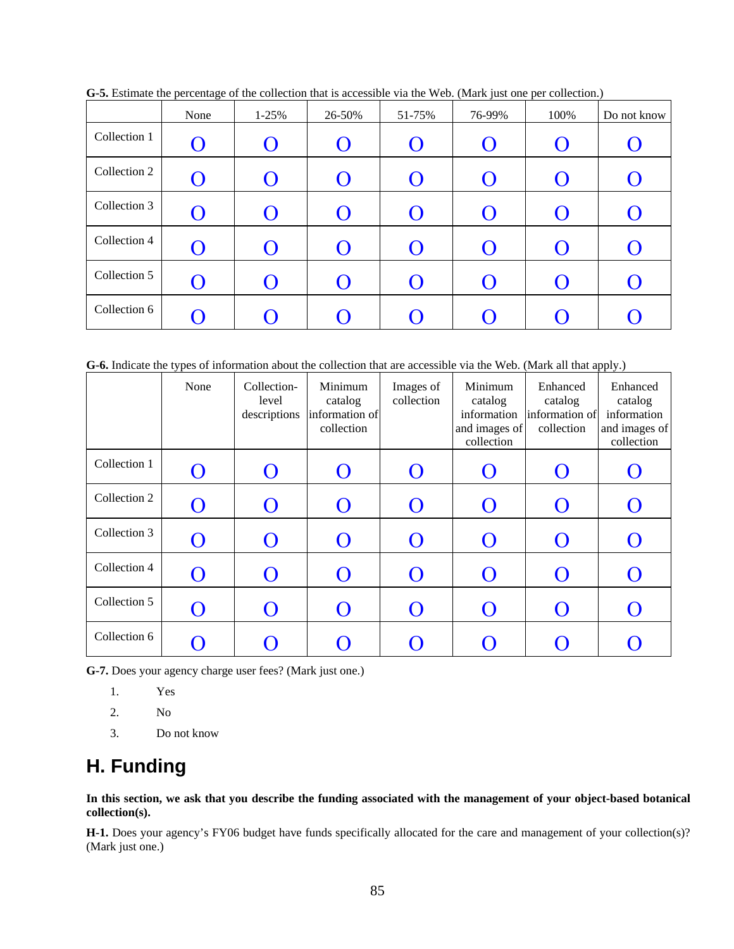|              | . к<br>$\overline{\phantom{a}}$<br>None | $1 - 25%$ | 26-50%   | 51-75%             | $\lambda$<br>J<br>76-99% | . F . 7<br>100%  | Do not know            |
|--------------|-----------------------------------------|-----------|----------|--------------------|--------------------------|------------------|------------------------|
| Collection 1 | $\mathbf O$                             |           | $\Omega$ | Ő                  |                          | $\Omega$         |                        |
| Collection 2 | $\bf{O}$                                |           | $\Omega$ | $\bf{O}$           |                          | $\left( \right)$ | Ő                      |
| Collection 3 | $\bf{O}$                                |           | $\Omega$ | Ő                  |                          | $\Omega$         | O                      |
| Collection 4 | $\boldsymbol{O}$                        |           | $\Omega$ | $\bf{O}$           |                          | $\bigcap$        | $\boldsymbol{\Theta}$  |
| Collection 5 | $\Omega$                                |           | $\Omega$ | $\left( \ \right)$ |                          | $\Omega$         | $\mathbf{\mathcal{L}}$ |
| Collection 6 | ( )                                     |           |          | $\mathbf{\Omega}$  |                          |                  |                        |

**G-5.** Estimate the percentage of the collection that is accessible via the Web. (Mark just one per collection.)

G-6. Indicate the types of information about the collection that are accessible via the Web. (Mark all that apply.)

 $\mathbf{r}$ 

|              | None              | Collection-<br>level<br>descriptions | Minimum<br>catalog<br>information of<br>collection | Images of<br>collection  | Minimum<br>catalog<br>information<br>and images of<br>collection | Enhanced<br>catalog<br>information of<br>collection | Enhanced<br>catalog<br>information<br>and images of<br>collection |
|--------------|-------------------|--------------------------------------|----------------------------------------------------|--------------------------|------------------------------------------------------------------|-----------------------------------------------------|-------------------------------------------------------------------|
| Collection 1 | $\mathbf{\Omega}$ | O                                    | $\bigcap$                                          | $\overline{\phantom{0}}$ |                                                                  | $\overline{\phantom{0}}$                            | U                                                                 |
| Collection 2 |                   |                                      |                                                    |                          |                                                                  |                                                     |                                                                   |
| Collection 3 | $\left(\right)$   |                                      | $\Omega$                                           | ( )                      |                                                                  |                                                     | $\cup$                                                            |
| Collection 4 | $\mathbf{\Omega}$ | O                                    | $\Omega$                                           | O                        |                                                                  |                                                     | $\left(\right)$                                                   |
| Collection 5 |                   |                                      |                                                    |                          |                                                                  |                                                     |                                                                   |
| Collection 6 |                   |                                      |                                                    |                          |                                                                  |                                                     |                                                                   |

**G-7.** Does your agency charge user fees? (Mark just one.)

- 1. Yes
- 2. No
- 3. Do not know

## **H. Funding**

**In this section, we ask that you describe the funding associated with the management of your object-based botanical collection(s).** 

**H-1.** Does your agency's FY06 budget have funds specifically allocated for the care and management of your collection(s)? (Mark just one.)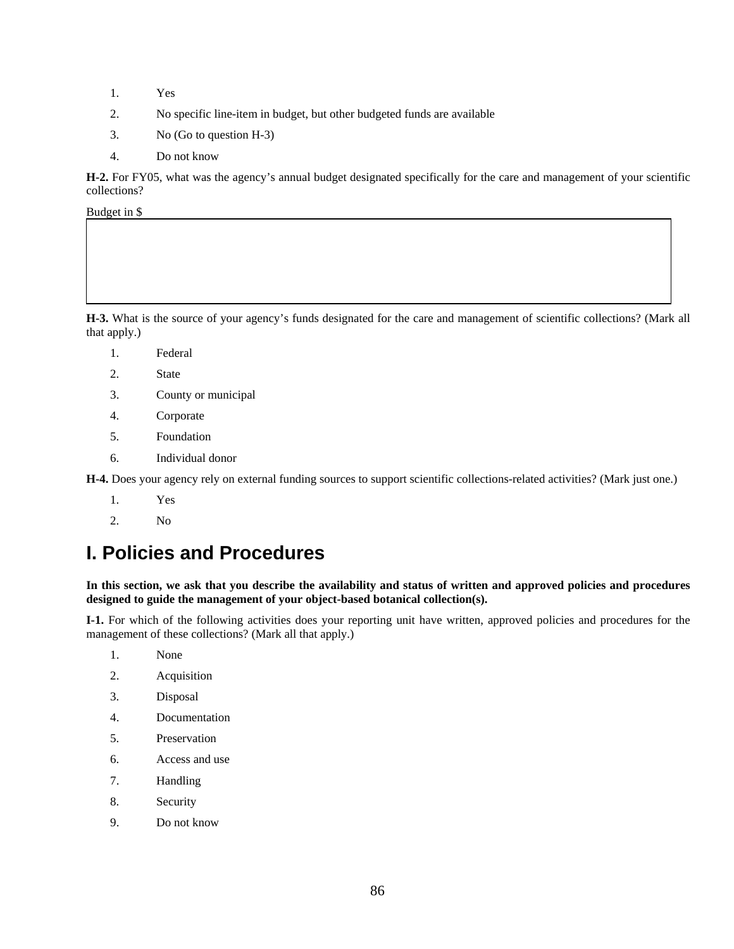- 1. Yes
- 2. No specific line-item in budget, but other budgeted funds are available
- 3. No (Go to question H-3)
- 4. Do not know

**H-2.** For FY05, what was the agency's annual budget designated specifically for the care and management of your scientific collections?

Budget in \$

**H-3.** What is the source of your agency's funds designated for the care and management of scientific collections? (Mark all that apply.)

- 1. Federal
- 2. State
- 3. County or municipal
- 4. Corporate
- 5. Foundation
- 6. Individual donor

**H-4.** Does your agency rely on external funding sources to support scientific collections-related activities? (Mark just one.)

- 1. Yes
- 2. No

## **I. Policies and Procedures**

### **In this section, we ask that you describe the availability and status of written and approved policies and procedures designed to guide the management of your object-based botanical collection(s).**

 **I-1.** For which of the following activities does your reporting unit have written, approved policies and procedures for the management of these collections? (Mark all that apply.)

- 1. None
- 2. Acquisition
- 3. Disposal
- 4. Documentation
- 5. Preservation
- 6. Access and use
- 7. Handling
- 8. Security
- 9. Do not know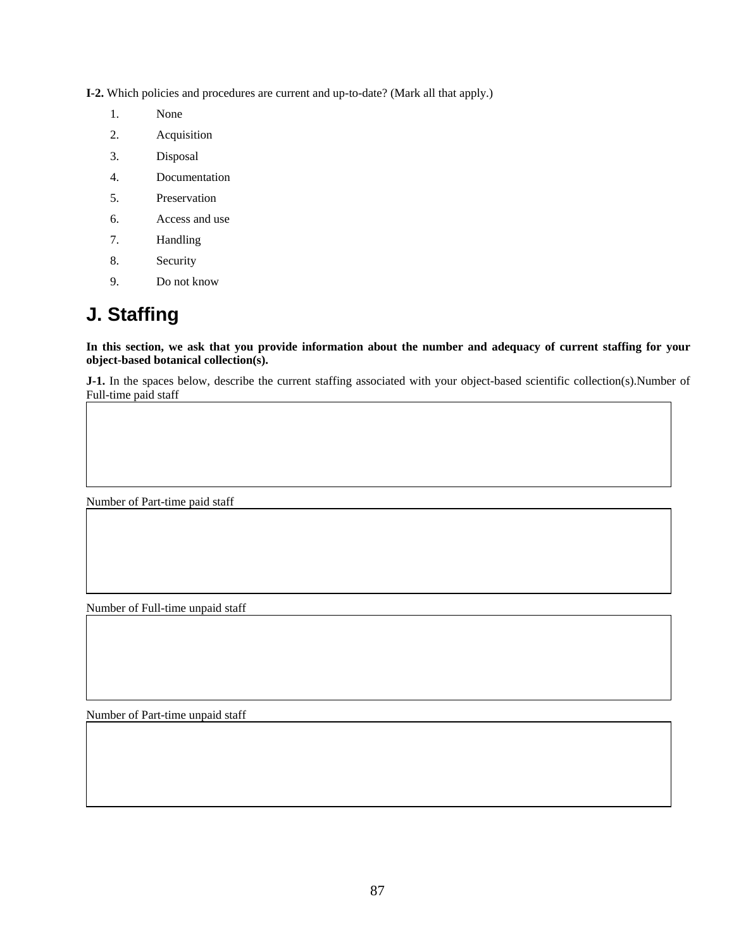**I-2.** Which policies and procedures are current and up-to-date? (Mark all that apply.)

- 1. None
- 2. Acquisition
- 3. Disposal
- 4. Documentation
- 5. Preservation
- 6. Access and use
- 7. Handling
- 8. Security
- 9. Do not know

## **J. Staffing**

**In this section, we ask that you provide information about the number and adequacy of current staffing for your object-based botanical collection(s).** 

**J-1.** In the spaces below, describe the current staffing associated with your object-based scientific collection(s).Number of Full-time paid staff

Number of Part-time paid staff

Number of Full-time unpaid staff

Number of Part-time unpaid staff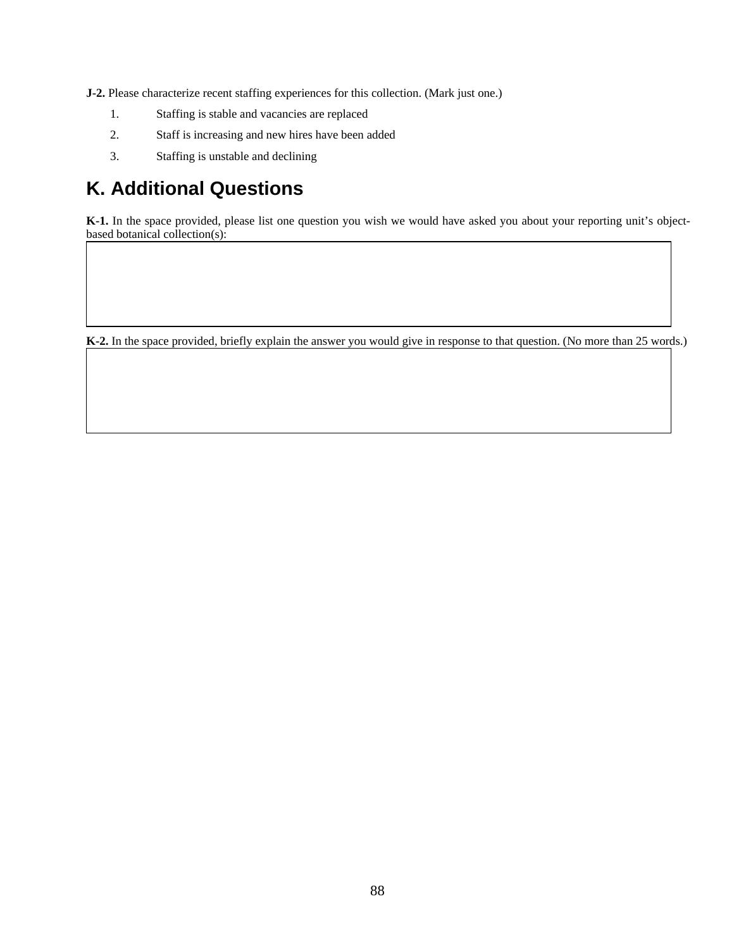**J-2.** Please characterize recent staffing experiences for this collection. (Mark just one.)

- 1. Staffing is stable and vacancies are replaced
- 2. Staff is increasing and new hires have been added
- 3. Staffing is unstable and declining

# **K. Additional Questions**

**K-1.** In the space provided, please list one question you wish we would have asked you about your reporting unit's objectbased botanical collection(s):

**K-2.** In the space provided, briefly explain the answer you would give in response to that question. (No more than 25 words.)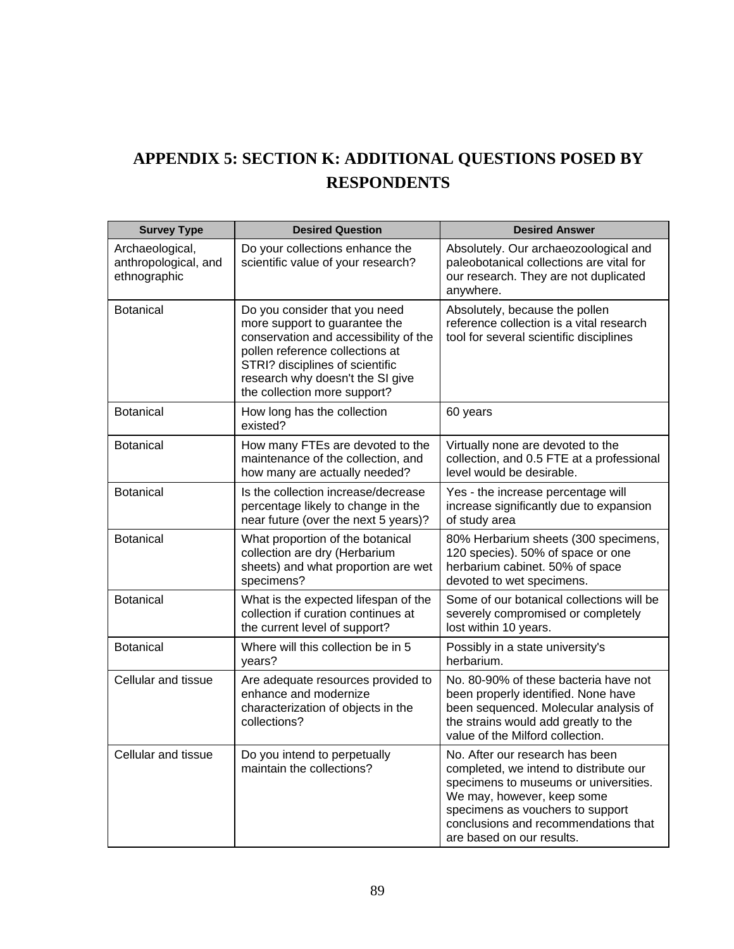# **APPENDIX 5: SECTION K: ADDITIONAL QUESTIONS POSED BY RESPONDENTS**

| <b>Survey Type</b>                                      | <b>Desired Question</b>                                                                                                                                                                                                                           | <b>Desired Answer</b>                                                                                                                                                                                                                                     |
|---------------------------------------------------------|---------------------------------------------------------------------------------------------------------------------------------------------------------------------------------------------------------------------------------------------------|-----------------------------------------------------------------------------------------------------------------------------------------------------------------------------------------------------------------------------------------------------------|
| Archaeological,<br>anthropological, and<br>ethnographic | Do your collections enhance the<br>scientific value of your research?                                                                                                                                                                             | Absolutely. Our archaeozoological and<br>paleobotanical collections are vital for<br>our research. They are not duplicated<br>anywhere.                                                                                                                   |
| <b>Botanical</b>                                        | Do you consider that you need<br>more support to guarantee the<br>conservation and accessibility of the<br>pollen reference collections at<br>STRI? disciplines of scientific<br>research why doesn't the SI give<br>the collection more support? | Absolutely, because the pollen<br>reference collection is a vital research<br>tool for several scientific disciplines                                                                                                                                     |
| <b>Botanical</b>                                        | How long has the collection<br>existed?                                                                                                                                                                                                           | 60 years                                                                                                                                                                                                                                                  |
| <b>Botanical</b>                                        | How many FTEs are devoted to the<br>maintenance of the collection, and<br>how many are actually needed?                                                                                                                                           | Virtually none are devoted to the<br>collection, and 0.5 FTE at a professional<br>level would be desirable.                                                                                                                                               |
| <b>Botanical</b>                                        | Is the collection increase/decrease<br>percentage likely to change in the<br>near future (over the next 5 years)?                                                                                                                                 | Yes - the increase percentage will<br>increase significantly due to expansion<br>of study area                                                                                                                                                            |
| <b>Botanical</b>                                        | What proportion of the botanical<br>collection are dry (Herbarium<br>sheets) and what proportion are wet<br>specimens?                                                                                                                            | 80% Herbarium sheets (300 specimens,<br>120 species). 50% of space or one<br>herbarium cabinet. 50% of space<br>devoted to wet specimens.                                                                                                                 |
| <b>Botanical</b>                                        | What is the expected lifespan of the<br>collection if curation continues at<br>the current level of support?                                                                                                                                      | Some of our botanical collections will be<br>severely compromised or completely<br>lost within 10 years.                                                                                                                                                  |
| <b>Botanical</b>                                        | Where will this collection be in 5<br>years?                                                                                                                                                                                                      | Possibly in a state university's<br>herbarium.                                                                                                                                                                                                            |
| Cellular and tissue                                     | Are adequate resources provided to<br>enhance and modernize<br>characterization of objects in the<br>collections?                                                                                                                                 | No. 80-90% of these bacteria have not<br>been properly identified. None have<br>been sequenced. Molecular analysis of<br>the strains would add greatly to the<br>value of the Milford collection.                                                         |
| Cellular and tissue                                     | Do you intend to perpetually<br>maintain the collections?                                                                                                                                                                                         | No. After our research has been<br>completed, we intend to distribute our<br>specimens to museums or universities.<br>We may, however, keep some<br>specimens as vouchers to support<br>conclusions and recommendations that<br>are based on our results. |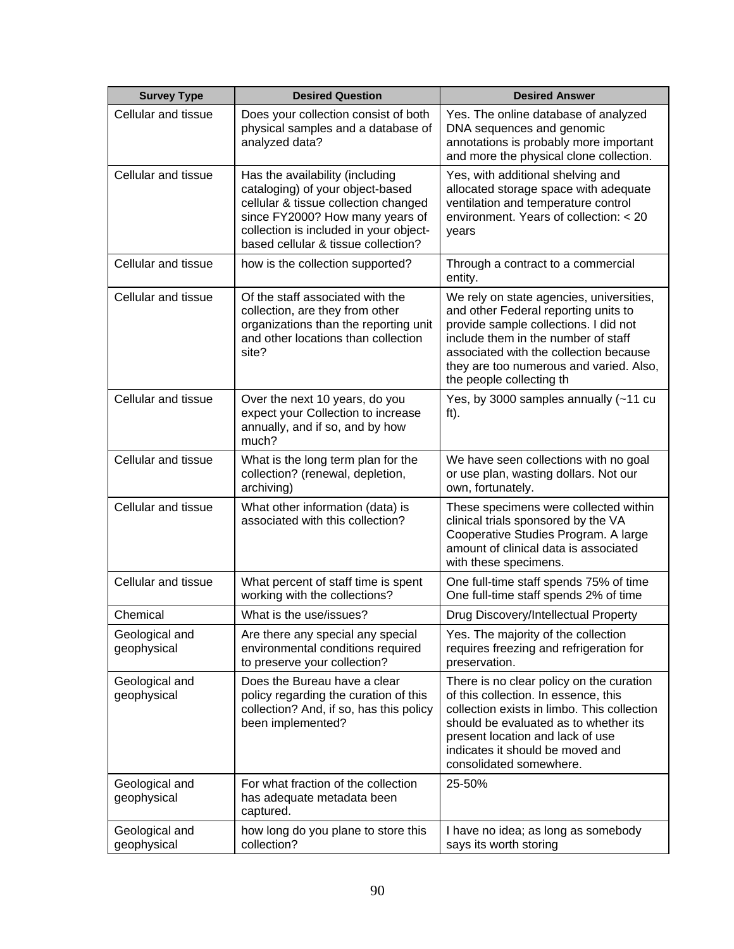| <b>Survey Type</b>            | <b>Desired Question</b>                                                                                                                                                                                                         | <b>Desired Answer</b>                                                                                                                                                                                                                                                             |
|-------------------------------|---------------------------------------------------------------------------------------------------------------------------------------------------------------------------------------------------------------------------------|-----------------------------------------------------------------------------------------------------------------------------------------------------------------------------------------------------------------------------------------------------------------------------------|
| Cellular and tissue           | Does your collection consist of both<br>physical samples and a database of<br>analyzed data?                                                                                                                                    | Yes. The online database of analyzed<br>DNA sequences and genomic<br>annotations is probably more important<br>and more the physical clone collection.                                                                                                                            |
| Cellular and tissue           | Has the availability (including<br>cataloging) of your object-based<br>cellular & tissue collection changed<br>since FY2000? How many years of<br>collection is included in your object-<br>based cellular & tissue collection? | Yes, with additional shelving and<br>allocated storage space with adequate<br>ventilation and temperature control<br>environment. Years of collection: < 20<br>years                                                                                                              |
| Cellular and tissue           | how is the collection supported?                                                                                                                                                                                                | Through a contract to a commercial<br>entity.                                                                                                                                                                                                                                     |
| Cellular and tissue           | Of the staff associated with the<br>collection, are they from other<br>organizations than the reporting unit<br>and other locations than collection<br>site?                                                                    | We rely on state agencies, universities,<br>and other Federal reporting units to<br>provide sample collections. I did not<br>include them in the number of staff<br>associated with the collection because<br>they are too numerous and varied. Also,<br>the people collecting th |
| Cellular and tissue           | Over the next 10 years, do you<br>expect your Collection to increase<br>annually, and if so, and by how<br>much?                                                                                                                | Yes, by 3000 samples annually (~11 cu<br>ft).                                                                                                                                                                                                                                     |
| Cellular and tissue           | What is the long term plan for the<br>collection? (renewal, depletion,<br>archiving)                                                                                                                                            | We have seen collections with no goal<br>or use plan, wasting dollars. Not our<br>own, fortunately.                                                                                                                                                                               |
| Cellular and tissue           | What other information (data) is<br>associated with this collection?                                                                                                                                                            | These specimens were collected within<br>clinical trials sponsored by the VA<br>Cooperative Studies Program. A large<br>amount of clinical data is associated<br>with these specimens.                                                                                            |
| Cellular and tissue           | What percent of staff time is spent<br>working with the collections?                                                                                                                                                            | One full-time staff spends 75% of time<br>One full-time staff spends 2% of time                                                                                                                                                                                                   |
| Chemical                      | What is the use/issues?                                                                                                                                                                                                         | Drug Discovery/Intellectual Property                                                                                                                                                                                                                                              |
| Geological and<br>geophysical | Are there any special any special<br>environmental conditions required<br>to preserve your collection?                                                                                                                          | Yes. The majority of the collection<br>requires freezing and refrigeration for<br>preservation.                                                                                                                                                                                   |
| Geological and<br>geophysical | Does the Bureau have a clear<br>policy regarding the curation of this<br>collection? And, if so, has this policy<br>been implemented?                                                                                           | There is no clear policy on the curation<br>of this collection. In essence, this<br>collection exists in limbo. This collection<br>should be evaluated as to whether its<br>present location and lack of use<br>indicates it should be moved and<br>consolidated somewhere.       |
| Geological and<br>geophysical | For what fraction of the collection<br>has adequate metadata been<br>captured.                                                                                                                                                  | 25-50%                                                                                                                                                                                                                                                                            |
| Geological and<br>geophysical | how long do you plane to store this<br>collection?                                                                                                                                                                              | I have no idea; as long as somebody<br>says its worth storing                                                                                                                                                                                                                     |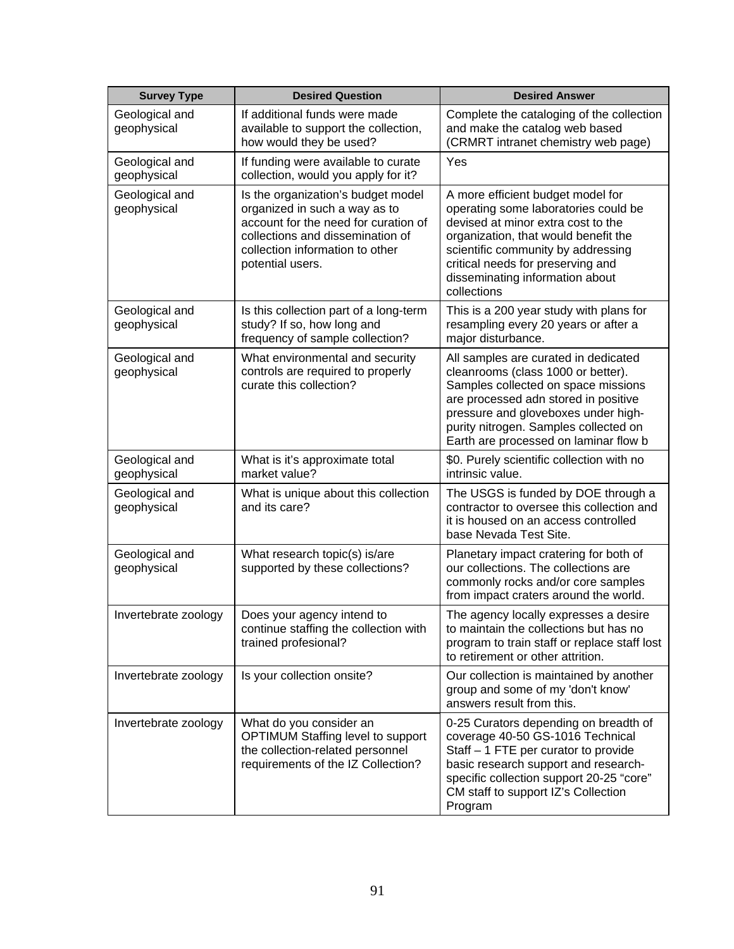| <b>Survey Type</b>            | <b>Desired Question</b>                                                                                                                                                                                | <b>Desired Answer</b>                                                                                                                                                                                                                                                                |
|-------------------------------|--------------------------------------------------------------------------------------------------------------------------------------------------------------------------------------------------------|--------------------------------------------------------------------------------------------------------------------------------------------------------------------------------------------------------------------------------------------------------------------------------------|
| Geological and<br>geophysical | If additional funds were made<br>available to support the collection,<br>how would they be used?                                                                                                       | Complete the cataloging of the collection<br>and make the catalog web based<br>(CRMRT intranet chemistry web page)                                                                                                                                                                   |
| Geological and<br>geophysical | If funding were available to curate<br>collection, would you apply for it?                                                                                                                             | Yes                                                                                                                                                                                                                                                                                  |
| Geological and<br>geophysical | Is the organization's budget model<br>organized in such a way as to<br>account for the need for curation of<br>collections and dissemination of<br>collection information to other<br>potential users. | A more efficient budget model for<br>operating some laboratories could be<br>devised at minor extra cost to the<br>organization, that would benefit the<br>scientific community by addressing<br>critical needs for preserving and<br>disseminating information about<br>collections |
| Geological and<br>geophysical | Is this collection part of a long-term<br>study? If so, how long and<br>frequency of sample collection?                                                                                                | This is a 200 year study with plans for<br>resampling every 20 years or after a<br>major disturbance.                                                                                                                                                                                |
| Geological and<br>geophysical | What environmental and security<br>controls are required to properly<br>curate this collection?                                                                                                        | All samples are curated in dedicated<br>cleanrooms (class 1000 or better).<br>Samples collected on space missions<br>are processed adn stored in positive<br>pressure and gloveboxes under high-<br>purity nitrogen. Samples collected on<br>Earth are processed on laminar flow b   |
| Geological and<br>geophysical | What is it's approximate total<br>market value?                                                                                                                                                        | \$0. Purely scientific collection with no<br>intrinsic value.                                                                                                                                                                                                                        |
| Geological and<br>geophysical | What is unique about this collection<br>and its care?                                                                                                                                                  | The USGS is funded by DOE through a<br>contractor to oversee this collection and<br>it is housed on an access controlled<br>base Nevada Test Site.                                                                                                                                   |
| Geological and<br>geophysical | What research topic(s) is/are<br>supported by these collections?                                                                                                                                       | Planetary impact cratering for both of<br>our collections. The collections are<br>commonly rocks and/or core samples<br>from impact craters around the world.                                                                                                                        |
| Invertebrate zoology          | Does your agency intend to<br>continue staffing the collection with<br>trained profesional?                                                                                                            | The agency locally expresses a desire<br>to maintain the collections but has no<br>program to train staff or replace staff lost<br>to retirement or other attrition.                                                                                                                 |
| Invertebrate zoology          | Is your collection onsite?                                                                                                                                                                             | Our collection is maintained by another<br>group and some of my 'don't know'<br>answers result from this.                                                                                                                                                                            |
| Invertebrate zoology          | What do you consider an<br>OPTIMUM Staffing level to support<br>the collection-related personnel<br>requirements of the IZ Collection?                                                                 | 0-25 Curators depending on breadth of<br>coverage 40-50 GS-1016 Technical<br>Staff - 1 FTE per curator to provide<br>basic research support and research-<br>specific collection support 20-25 "core"<br>CM staff to support IZ's Collection<br>Program                              |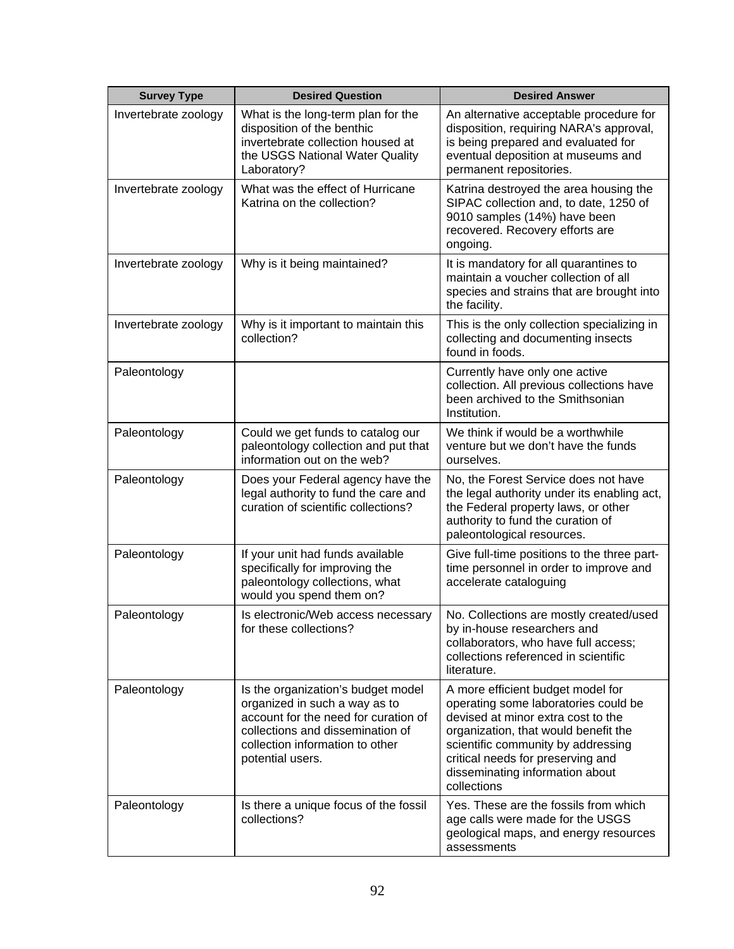| <b>Survey Type</b>   | <b>Desired Question</b>                                                                                                                                                                                | <b>Desired Answer</b>                                                                                                                                                                                                                                                                |
|----------------------|--------------------------------------------------------------------------------------------------------------------------------------------------------------------------------------------------------|--------------------------------------------------------------------------------------------------------------------------------------------------------------------------------------------------------------------------------------------------------------------------------------|
| Invertebrate zoology | What is the long-term plan for the<br>disposition of the benthic<br>invertebrate collection housed at<br>the USGS National Water Quality<br>Laboratory?                                                | An alternative acceptable procedure for<br>disposition, requiring NARA's approval,<br>is being prepared and evaluated for<br>eventual deposition at museums and<br>permanent repositories.                                                                                           |
| Invertebrate zoology | What was the effect of Hurricane<br>Katrina on the collection?                                                                                                                                         | Katrina destroyed the area housing the<br>SIPAC collection and, to date, 1250 of<br>9010 samples (14%) have been<br>recovered. Recovery efforts are<br>ongoing.                                                                                                                      |
| Invertebrate zoology | Why is it being maintained?                                                                                                                                                                            | It is mandatory for all quarantines to<br>maintain a voucher collection of all<br>species and strains that are brought into<br>the facility.                                                                                                                                         |
| Invertebrate zoology | Why is it important to maintain this<br>collection?                                                                                                                                                    | This is the only collection specializing in<br>collecting and documenting insects<br>found in foods.                                                                                                                                                                                 |
| Paleontology         |                                                                                                                                                                                                        | Currently have only one active<br>collection. All previous collections have<br>been archived to the Smithsonian<br>Institution.                                                                                                                                                      |
| Paleontology         | Could we get funds to catalog our<br>paleontology collection and put that<br>information out on the web?                                                                                               | We think if would be a worthwhile<br>venture but we don't have the funds<br>ourselves.                                                                                                                                                                                               |
| Paleontology         | Does your Federal agency have the<br>legal authority to fund the care and<br>curation of scientific collections?                                                                                       | No, the Forest Service does not have<br>the legal authority under its enabling act,<br>the Federal property laws, or other<br>authority to fund the curation of<br>paleontological resources.                                                                                        |
| Paleontology         | If your unit had funds available<br>specifically for improving the<br>paleontology collections, what<br>would you spend them on?                                                                       | Give full-time positions to the three part-<br>time personnel in order to improve and<br>accelerate cataloguing                                                                                                                                                                      |
| Paleontology         | Is electronic/Web access necessary<br>for these collections?                                                                                                                                           | No. Collections are mostly created/used<br>by in-house researchers and<br>collaborators, who have full access;<br>collections referenced in scientific<br>literature.                                                                                                                |
| Paleontology         | Is the organization's budget model<br>organized in such a way as to<br>account for the need for curation of<br>collections and dissemination of<br>collection information to other<br>potential users. | A more efficient budget model for<br>operating some laboratories could be<br>devised at minor extra cost to the<br>organization, that would benefit the<br>scientific community by addressing<br>critical needs for preserving and<br>disseminating information about<br>collections |
| Paleontology         | Is there a unique focus of the fossil<br>collections?                                                                                                                                                  | Yes. These are the fossils from which<br>age calls were made for the USGS<br>geological maps, and energy resources<br>assessments                                                                                                                                                    |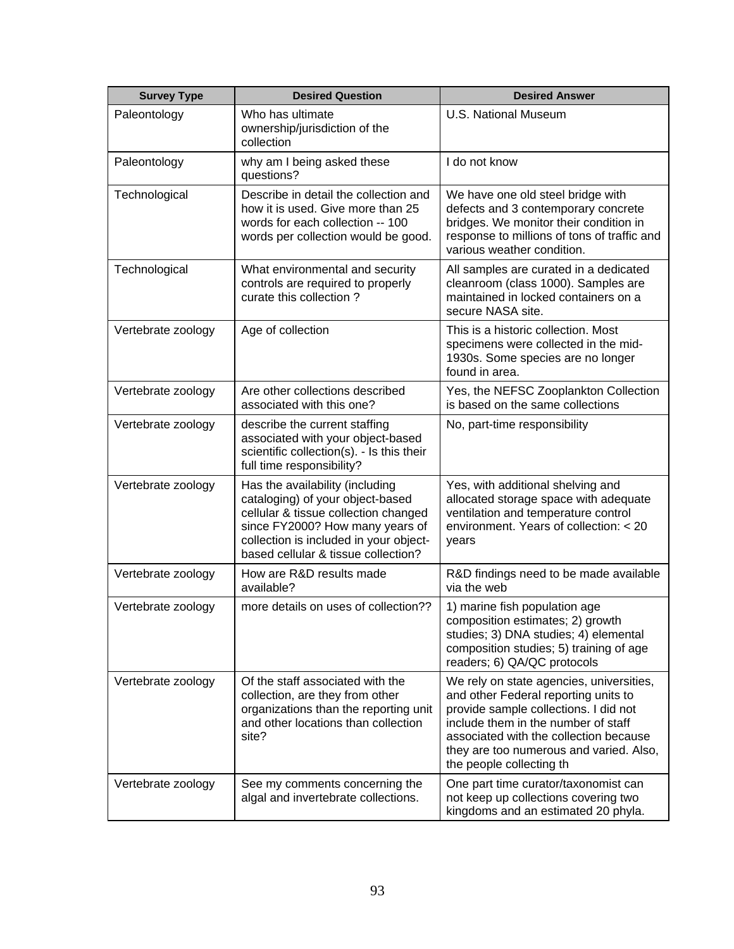| <b>Survey Type</b> | <b>Desired Question</b>                                                                                                                                                                                                         | <b>Desired Answer</b>                                                                                                                                                                                                                                                             |
|--------------------|---------------------------------------------------------------------------------------------------------------------------------------------------------------------------------------------------------------------------------|-----------------------------------------------------------------------------------------------------------------------------------------------------------------------------------------------------------------------------------------------------------------------------------|
| Paleontology       | Who has ultimate<br>ownership/jurisdiction of the<br>collection                                                                                                                                                                 | <b>U.S. National Museum</b>                                                                                                                                                                                                                                                       |
| Paleontology       | why am I being asked these<br>questions?                                                                                                                                                                                        | I do not know                                                                                                                                                                                                                                                                     |
| Technological      | Describe in detail the collection and<br>how it is used. Give more than 25<br>words for each collection -- 100<br>words per collection would be good.                                                                           | We have one old steel bridge with<br>defects and 3 contemporary concrete<br>bridges. We monitor their condition in<br>response to millions of tons of traffic and<br>various weather condition.                                                                                   |
| Technological      | What environmental and security<br>controls are required to properly<br>curate this collection?                                                                                                                                 | All samples are curated in a dedicated<br>cleanroom (class 1000). Samples are<br>maintained in locked containers on a<br>secure NASA site.                                                                                                                                        |
| Vertebrate zoology | Age of collection                                                                                                                                                                                                               | This is a historic collection. Most<br>specimens were collected in the mid-<br>1930s. Some species are no longer<br>found in area.                                                                                                                                                |
| Vertebrate zoology | Are other collections described<br>associated with this one?                                                                                                                                                                    | Yes, the NEFSC Zooplankton Collection<br>is based on the same collections                                                                                                                                                                                                         |
| Vertebrate zoology | describe the current staffing<br>associated with your object-based<br>scientific collection(s). - Is this their<br>full time responsibility?                                                                                    | No, part-time responsibility                                                                                                                                                                                                                                                      |
| Vertebrate zoology | Has the availability (including<br>cataloging) of your object-based<br>cellular & tissue collection changed<br>since FY2000? How many years of<br>collection is included in your object-<br>based cellular & tissue collection? | Yes, with additional shelving and<br>allocated storage space with adequate<br>ventilation and temperature control<br>environment. Years of collection: < 20<br>years                                                                                                              |
| Vertebrate zoology | How are R&D results made<br>available?                                                                                                                                                                                          | R&D findings need to be made available<br>via the web                                                                                                                                                                                                                             |
| Vertebrate zoology | more details on uses of collection??                                                                                                                                                                                            | 1) marine fish population age<br>composition estimates; 2) growth<br>studies; 3) DNA studies; 4) elemental<br>composition studies; 5) training of age<br>readers; 6) QA/QC protocols                                                                                              |
| Vertebrate zoology | Of the staff associated with the<br>collection, are they from other<br>organizations than the reporting unit<br>and other locations than collection<br>site?                                                                    | We rely on state agencies, universities,<br>and other Federal reporting units to<br>provide sample collections. I did not<br>include them in the number of staff<br>associated with the collection because<br>they are too numerous and varied. Also,<br>the people collecting th |
| Vertebrate zoology | See my comments concerning the<br>algal and invertebrate collections.                                                                                                                                                           | One part time curator/taxonomist can<br>not keep up collections covering two<br>kingdoms and an estimated 20 phyla.                                                                                                                                                               |